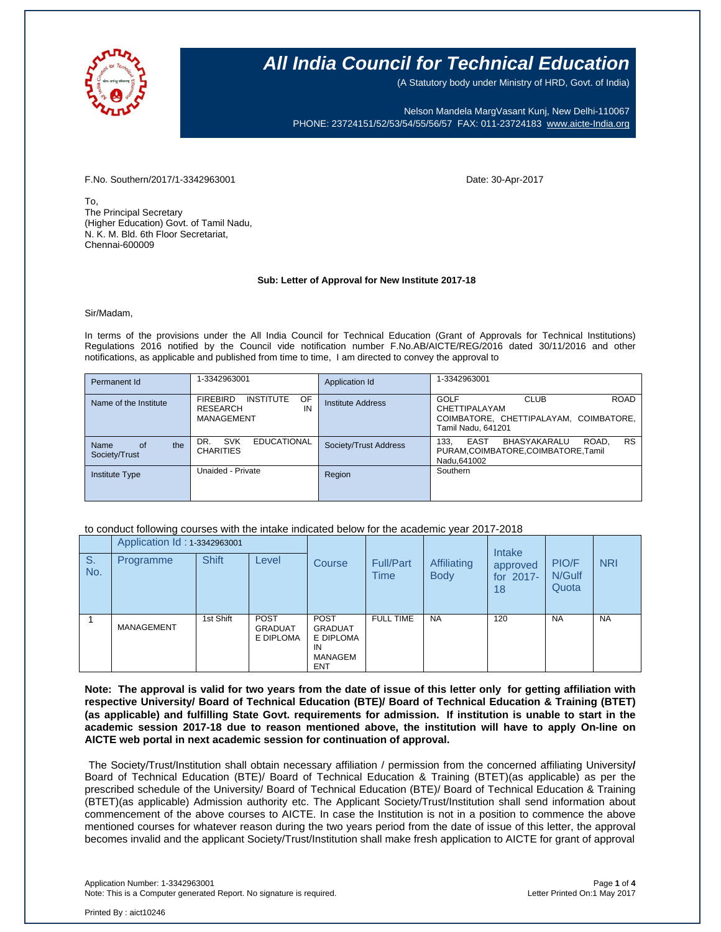

(A Statutory body under Ministry of HRD, Govt. of India)

Nelson Mandela MargVasant Kunj, New Delhi-110067 PHONE: 23724151/52/53/54/55/56/57 FAX: 011-23724183 [www.aicte-India.org](http://www.aicte-india.org/)

F.No. Southern/2017/1-3342963001 Date: 30-Apr-2017

To, The Principal Secretary (Higher Education) Govt. of Tamil Nadu, N. K. M. Bld. 6th Floor Secretariat, Chennai-600009

### **Sub: Letter of Approval for New Institute 2017-18**

Sir/Madam,

In terms of the provisions under the All India Council for Technical Education (Grant of Approvals for Technical Institutions) Regulations 2016 notified by the Council vide notification number F.No.AB/AICTE/REG/2016 dated 30/11/2016 and other notifications, as applicable and published from time to time, I am directed to convey the approval to

| Permanent Id                       | 1-3342963001                                                               | Application Id        | 1-3342963001                                                                                                        |
|------------------------------------|----------------------------------------------------------------------------|-----------------------|---------------------------------------------------------------------------------------------------------------------|
| Name of the Institute              | OF.<br>INSTITUTE<br><b>FIREBIRD</b><br>IN<br><b>RESEARCH</b><br>MANAGEMENT | Institute Address     | <b>ROAD</b><br>GOLF<br><b>CLUB</b><br>CHETTIPALAYAM<br>COIMBATORE, CHETTIPALAYAM, COIMBATORE,<br>Tamil Nadu, 641201 |
| the<br>Name<br>of<br>Society/Trust | <b>SVK</b><br><b>EDUCATIONAL</b><br>DR.<br><b>CHARITIES</b>                | Society/Trust Address | <b>RS</b><br>ROAD.<br>EAST<br>BHASYAKARALU<br>133.<br>PURAM, COIMBATORE, COIMBATORE, Tamil<br>Nadu, 641002          |
| <b>Institute Type</b>              | Unaided - Private                                                          | Region                | Southern                                                                                                            |

### to conduct following courses with the intake indicated below for the academic year 2017-2018

|           | Application Id: 1-3342963001 |              |                                            |                                                                                  |                                 |                            | Intake                      |                          |            |
|-----------|------------------------------|--------------|--------------------------------------------|----------------------------------------------------------------------------------|---------------------------------|----------------------------|-----------------------------|--------------------------|------------|
| S.<br>No. | Programme                    | <b>Shift</b> | Level                                      | <b>Course</b>                                                                    | <b>Full/Part</b><br><b>Time</b> | Affiliating<br><b>Body</b> | approved<br>for 2017-<br>18 | PIO/F<br>N/Gulf<br>Quota | <b>NRI</b> |
|           | MANAGEMENT                   | 1st Shift    | <b>POST</b><br><b>GRADUAT</b><br>E DIPLOMA | <b>POST</b><br><b>GRADUAT</b><br>E DIPLOMA<br>IN<br><b>MANAGEM</b><br><b>ENT</b> | <b>FULL TIME</b>                | <b>NA</b>                  | 120                         | <b>NA</b>                | <b>NA</b>  |

Note: The approval is valid for two years from the date of issue of this letter only for getting affiliation with **respective University/ Board of Technical Education (BTE)/ Board of Technical Education & Training (BTET)** (as applicable) and fulfilling State Govt. requirements for admission. If institution is unable to start in the **academic session 2017-18 due to reason mentioned above, the institution will have to apply On-line on AICTE web portal in next academic session for continuation of approval.**

The Society/Trust/Institution shall obtain necessary affiliation / permission from the concerned affiliating University**/** Board of Technical Education (BTE)/ Board of Technical Education & Training (BTET)(as applicable) as per the prescribed schedule of the University/ Board of Technical Education (BTE)/ Board of Technical Education & Training (BTET)(as applicable) Admission authority etc. The Applicant Society/Trust/Institution shall send information about commencement of the above courses to AICTE. In case the Institution is not in a position to commence the above mentioned courses for whatever reason during the two years period from the date of issue of this letter, the approval becomes invalid and the applicant Society/Trust/Institution shall make fresh application to AICTE for grant of approval

Application Number: 1-3342963001 Page **1** of **4** Note: This is a Computer generated Report. No signature is required.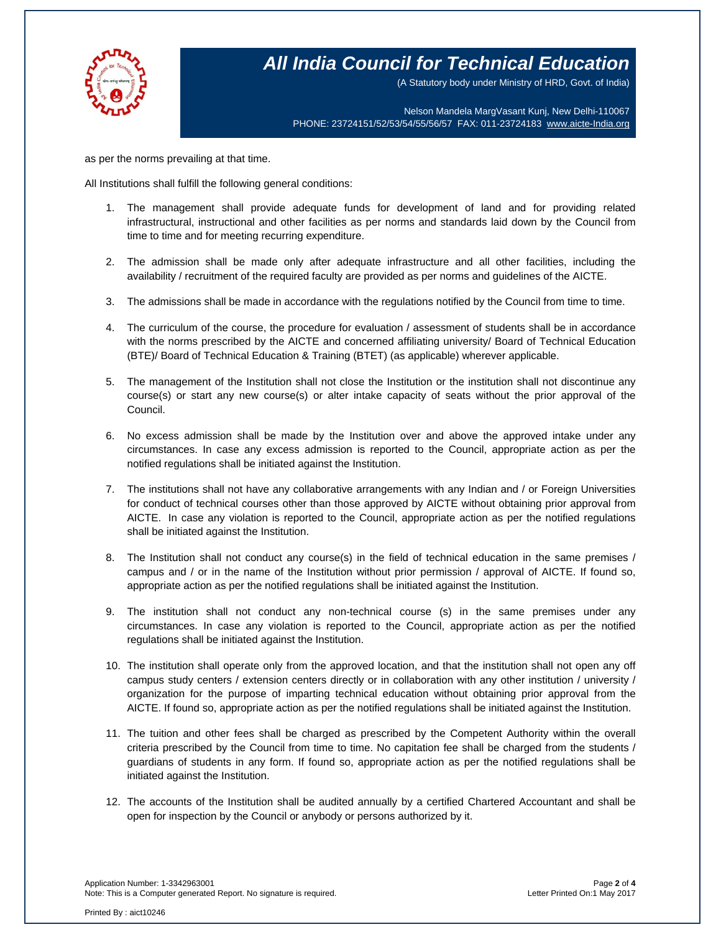

(A Statutory body under Ministry of HRD, Govt. of India)

Nelson Mandela MargVasant Kunj, New Delhi-110067 PHONE: 23724151/52/53/54/55/56/57 FAX: 011-23724183 [www.aicte-India.org](http://www.aicte-india.org/)

as per the norms prevailing at that time.

All Institutions shall fulfill the following general conditions:

- 1. The management shall provide adequate funds for development of land and for providing related infrastructural, instructional and other facilities as per norms and standards laid down by the Council from time to time and for meeting recurring expenditure.
- 2. The admission shall be made only after adequate infrastructure and all other facilities, including the availability / recruitment of the required faculty are provided as per norms and guidelines of the AICTE.
- 3. The admissions shall be made in accordance with the regulations notified by the Council from time to time.
- 4. The curriculum of the course, the procedure for evaluation / assessment of students shall be in accordance with the norms prescribed by the AICTE and concerned affiliating university/ Board of Technical Education (BTE)/ Board of Technical Education & Training (BTET) (as applicable) wherever applicable.
- 5. The management of the Institution shall not close the Institution or the institution shall not discontinue any course(s) or start any new course(s) or alter intake capacity of seats without the prior approval of the Council.
- 6. No excess admission shall be made by the Institution over and above the approved intake under any circumstances. In case any excess admission is reported to the Council, appropriate action as per the notified regulations shall be initiated against the Institution.
- 7. The institutions shall not have any collaborative arrangements with any Indian and / or Foreign Universities for conduct of technical courses other than those approved by AICTE without obtaining prior approval from AICTE. In case any violation is reported to the Council, appropriate action as per the notified regulations shall be initiated against the Institution.
- 8. The Institution shall not conduct any course(s) in the field of technical education in the same premises / campus and / or in the name of the Institution without prior permission / approval of AICTE. If found so, appropriate action as per the notified regulations shall be initiated against the Institution.
- 9. The institution shall not conduct any non-technical course (s) in the same premises under any circumstances. In case any violation is reported to the Council, appropriate action as per the notified regulations shall be initiated against the Institution.
- 10. The institution shall operate only from the approved location, and that the institution shall not open any off campus study centers / extension centers directly or in collaboration with any other institution / university / organization for the purpose of imparting technical education without obtaining prior approval from the AICTE. If found so, appropriate action as per the notified regulations shall be initiated against the Institution.
- 11. The tuition and other fees shall be charged as prescribed by the Competent Authority within the overall criteria prescribed by the Council from time to time. No capitation fee shall be charged from the students / guardians of students in any form. If found so, appropriate action as per the notified regulations shall be initiated against the Institution.
- 12. The accounts of the Institution shall be audited annually by a certified Chartered Accountant and shall be open for inspection by the Council or anybody or persons authorized by it.

Application Number: 1-3342963001 Page **2** of **4** Note: This is a Computer generated Report. No signature is required.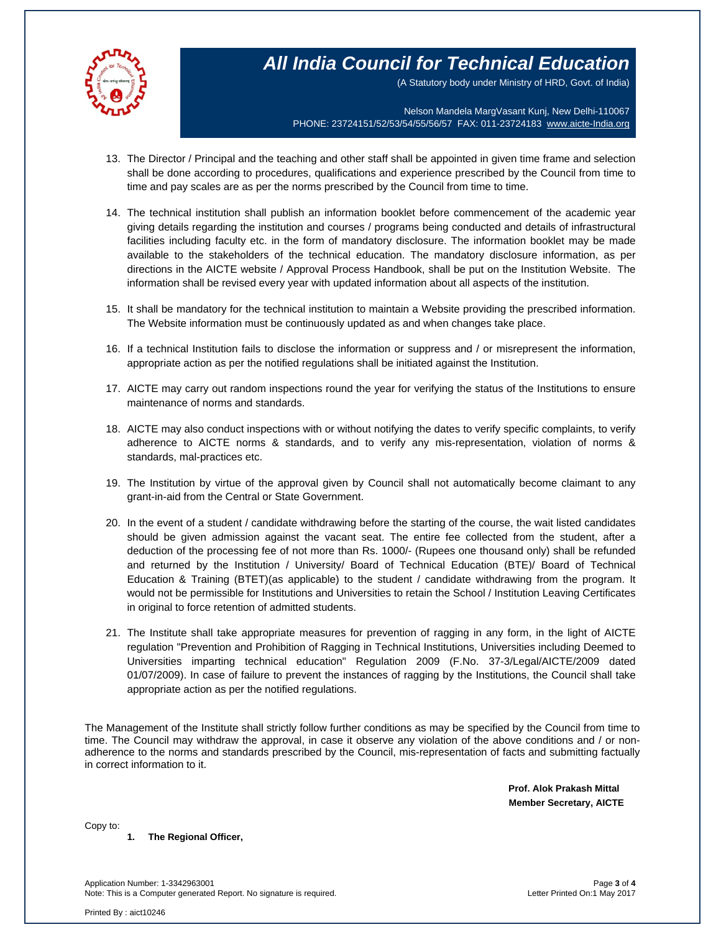

(A Statutory body under Ministry of HRD, Govt. of India)

Nelson Mandela MargVasant Kunj, New Delhi-110067 PHONE: 23724151/52/53/54/55/56/57 FAX: 011-23724183 [www.aicte-India.org](http://www.aicte-india.org/)

- 13. The Director / Principal and the teaching and other staff shall be appointed in given time frame and selection shall be done according to procedures, qualifications and experience prescribed by the Council from time to time and pay scales are as per the norms prescribed by the Council from time to time.
- 14. The technical institution shall publish an information booklet before commencement of the academic year giving details regarding the institution and courses / programs being conducted and details of infrastructural facilities including faculty etc. in the form of mandatory disclosure. The information booklet may be made available to the stakeholders of the technical education. The mandatory disclosure information, as per directions in the AICTE website / Approval Process Handbook, shall be put on the Institution Website. The information shall be revised every year with updated information about all aspects of the institution.
- 15. It shall be mandatory for the technical institution to maintain a Website providing the prescribed information. The Website information must be continuously updated as and when changes take place.
- 16. If a technical Institution fails to disclose the information or suppress and / or misrepresent the information, appropriate action as per the notified regulations shall be initiated against the Institution.
- 17. AICTE may carry out random inspections round the year for verifying the status of the Institutions to ensure maintenance of norms and standards.
- 18. AICTE may also conduct inspections with or without notifying the dates to verify specific complaints, to verify adherence to AICTE norms & standards, and to verify any mis-representation, violation of norms & standards, mal-practices etc.
- 19. The Institution by virtue of the approval given by Council shall not automatically become claimant to any grant-in-aid from the Central or State Government.
- 20. In the event of a student / candidate withdrawing before the starting of the course, the wait listed candidates should be given admission against the vacant seat. The entire fee collected from the student, after a deduction of the processing fee of not more than Rs. 1000/- (Rupees one thousand only) shall be refunded and returned by the Institution / University/ Board of Technical Education (BTE)/ Board of Technical Education & Training (BTET)(as applicable) to the student / candidate withdrawing from the program. It would not be permissible for Institutions and Universities to retain the School / Institution Leaving Certificates in original to force retention of admitted students.
- 21. The Institute shall take appropriate measures for prevention of ragging in any form, in the light of AICTE regulation "Prevention and Prohibition of Ragging in Technical Institutions, Universities including Deemed to Universities imparting technical education" Regulation 2009 (F.No. 37-3/Legal/AICTE/2009 dated 01/07/2009). In case of failure to prevent the instances of ragging by the Institutions, the Council shall take appropriate action as per the notified regulations.

The Management of the Institute shall strictly follow further conditions as may be specified by the Council from time to time. The Council may withdraw the approval, in case it observe any violation of the above conditions and / or nonadherence to the norms and standards prescribed by the Council, mis-representation of facts and submitting factually in correct information to it.

> **Prof. Alok Prakash Mittal Member Secretary, AICTE**

Copy to:

### **1. The Regional Officer,**

Application Number: 1-3342963001 Page **3** of **4** Note: This is a Computer generated Report. No signature is required.

Printed By : aict10246